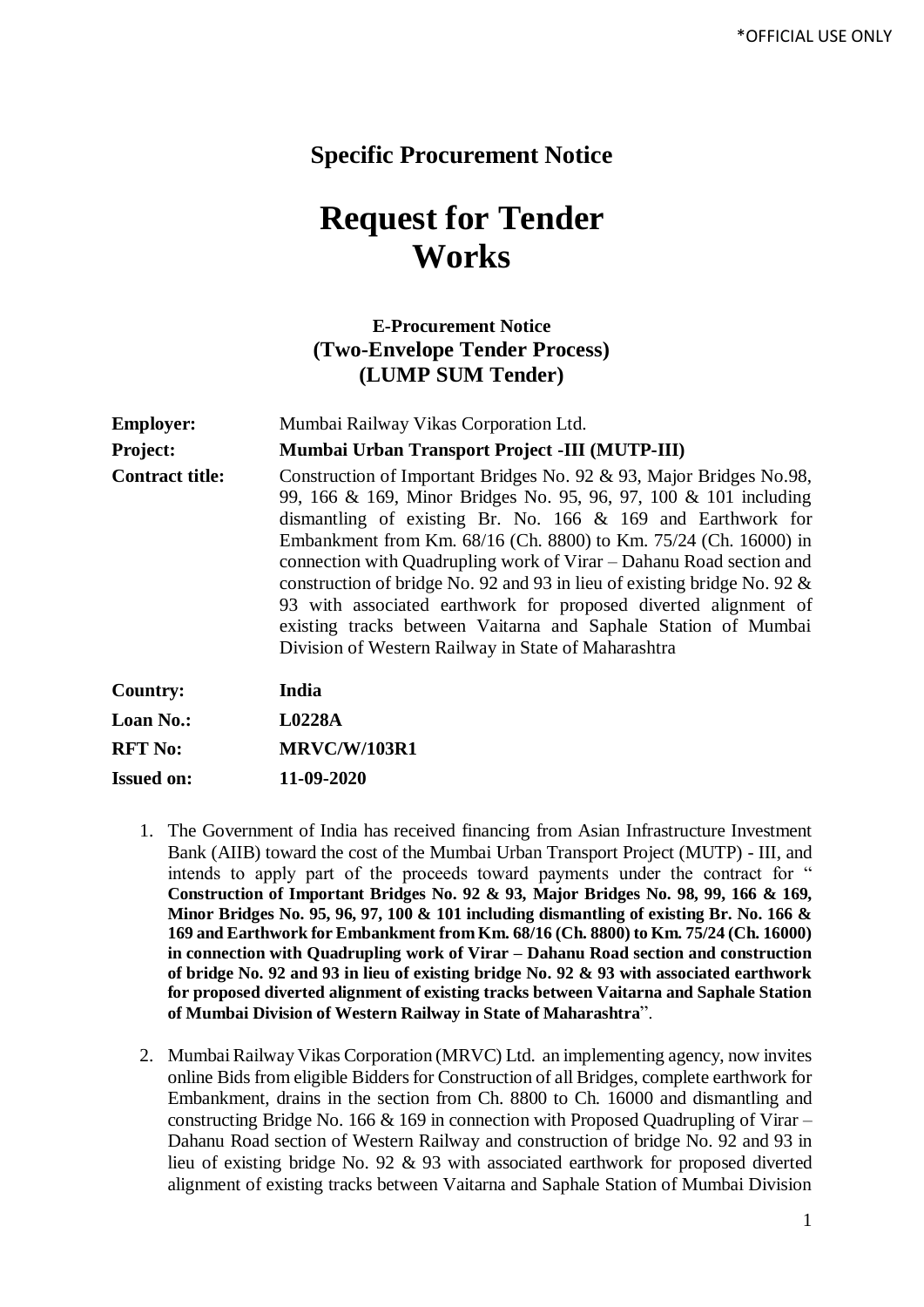## **Specific Procurement Notice**

## **Request for Tender Works**

## **E-Procurement Notice (Two-Envelope Tender Process) (LUMP SUM Tender)**

| <b>Employer:</b>       | Mumbai Railway Vikas Corporation Ltd.                                                                                                                                                                                                                                                                                                                                                                                                                                                                                                                                                                                                                                             |  |  |  |  |
|------------------------|-----------------------------------------------------------------------------------------------------------------------------------------------------------------------------------------------------------------------------------------------------------------------------------------------------------------------------------------------------------------------------------------------------------------------------------------------------------------------------------------------------------------------------------------------------------------------------------------------------------------------------------------------------------------------------------|--|--|--|--|
| Project:               | Mumbai Urban Transport Project -III (MUTP-III)<br>Construction of Important Bridges No. 92 & 93, Major Bridges No.98,<br>99, 166 & 169, Minor Bridges No. 95, 96, 97, 100 & 101 including<br>dismantling of existing Br. No. $166 \& 169$ and Earthwork for<br>Embankment from Km. 68/16 (Ch. 8800) to Km. 75/24 (Ch. 16000) in<br>connection with Quadrupling work of Virar – Dahanu Road section and<br>construction of bridge No. 92 and 93 in lieu of existing bridge No. 92 $\&$<br>93 with associated earthwork for proposed diverted alignment of<br>existing tracks between Vaitarna and Saphale Station of Mumbai<br>Division of Western Railway in State of Maharashtra |  |  |  |  |
| <b>Contract title:</b> |                                                                                                                                                                                                                                                                                                                                                                                                                                                                                                                                                                                                                                                                                   |  |  |  |  |
| <b>Country:</b>        | India                                                                                                                                                                                                                                                                                                                                                                                                                                                                                                                                                                                                                                                                             |  |  |  |  |
| <b>Loan No.:</b>       | L0228A                                                                                                                                                                                                                                                                                                                                                                                                                                                                                                                                                                                                                                                                            |  |  |  |  |
| <b>RFT No:</b>         | <b>MRVC/W/103R1</b>                                                                                                                                                                                                                                                                                                                                                                                                                                                                                                                                                                                                                                                               |  |  |  |  |
| <b>Issued on:</b>      | 11-09-2020                                                                                                                                                                                                                                                                                                                                                                                                                                                                                                                                                                                                                                                                        |  |  |  |  |

- 1. The Government of India has received financing from Asian Infrastructure Investment Bank (AIIB) toward the cost of the Mumbai Urban Transport Project (MUTP) - III, and intends to apply part of the proceeds toward payments under the contract for " **Construction of Important Bridges No. 92 & 93, Major Bridges No. 98, 99, 166 & 169, Minor Bridges No. 95, 96, 97, 100 & 101 including dismantling of existing Br. No. 166 & 169 and Earthwork for Embankment from Km. 68/16 (Ch. 8800) to Km. 75/24 (Ch. 16000) in connection with Quadrupling work of Virar – Dahanu Road section and construction of bridge No. 92 and 93 in lieu of existing bridge No. 92 & 93 with associated earthwork for proposed diverted alignment of existing tracks between Vaitarna and Saphale Station of Mumbai Division of Western Railway in State of Maharashtra**".
- 2. Mumbai Railway Vikas Corporation (MRVC) Ltd. an implementing agency, now invites online Bids from eligible Bidders for Construction of all Bridges, complete earthwork for Embankment, drains in the section from Ch. 8800 to Ch. 16000 and dismantling and constructing Bridge No. 166 & 169 in connection with Proposed Quadrupling of Virar – Dahanu Road section of Western Railway and construction of bridge No. 92 and 93 in lieu of existing bridge No. 92 & 93 with associated earthwork for proposed diverted alignment of existing tracks between Vaitarna and Saphale Station of Mumbai Division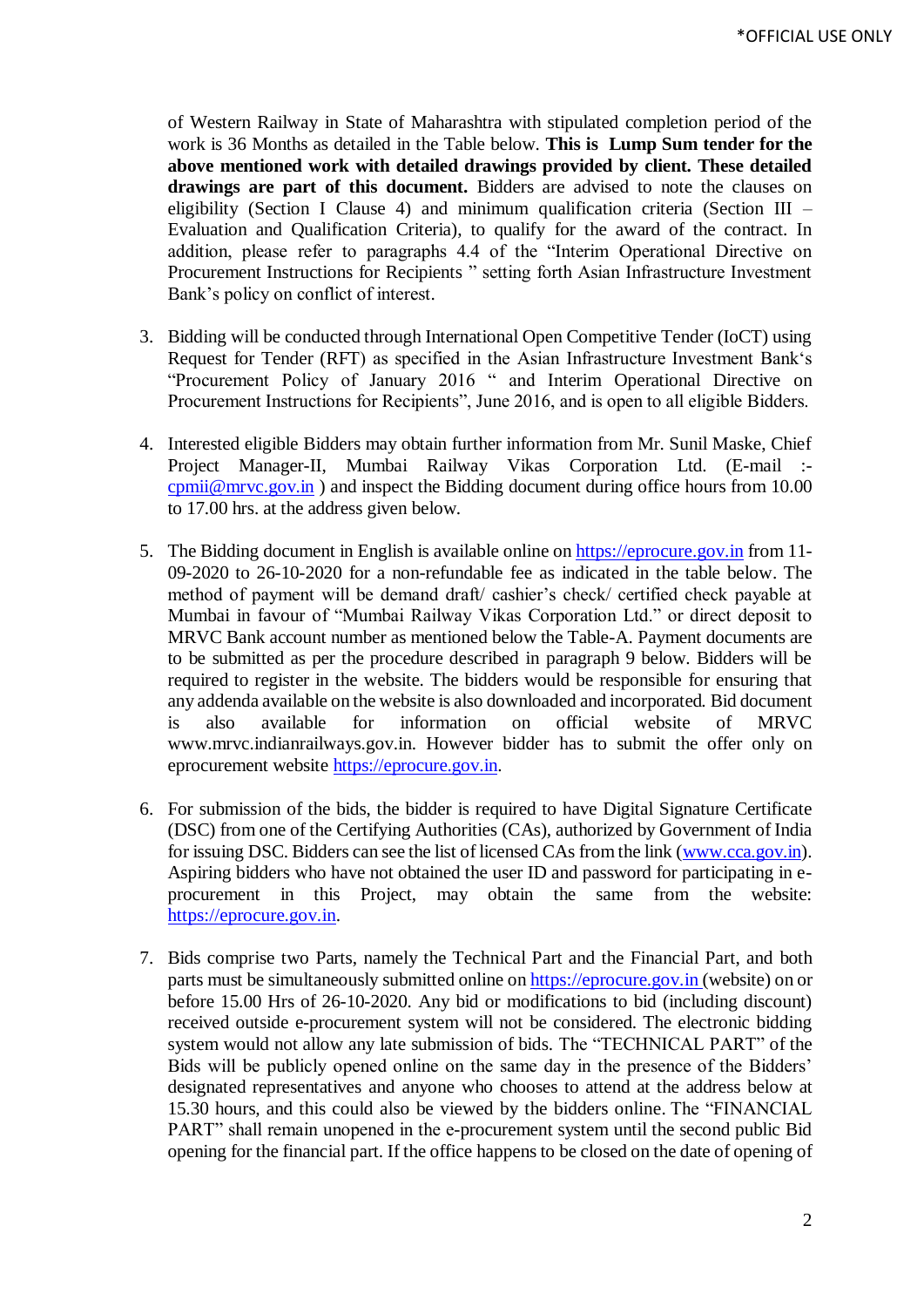of Western Railway in State of Maharashtra with stipulated completion period of the work is 36 Months as detailed in the Table below. **This is Lump Sum tender for the above mentioned work with detailed drawings provided by client. These detailed drawings are part of this document.** Bidders are advised to note the clauses on eligibility (Section I Clause 4) and minimum qualification criteria (Section III – Evaluation and Qualification Criteria), to qualify for the award of the contract. In addition, please refer to paragraphs 4.4 of the "Interim Operational Directive on Procurement Instructions for Recipients " setting forth Asian Infrastructure Investment Bank's policy on conflict of interest.

- 3. Bidding will be conducted through International Open Competitive Tender (IoCT) using Request for Tender (RFT) as specified in the Asian Infrastructure Investment Bank's "Procurement Policy of January 2016 " and Interim Operational Directive on Procurement Instructions for Recipients", June 2016, and is open to all eligible Bidders.
- 4. Interested eligible Bidders may obtain further information from Mr. Sunil Maske, Chief Project Manager-II, Mumbai Railway Vikas Corporation Ltd. (E-mail : [cpmii@mrvc.gov.in](mailto:cpmii@mrvc.gov.in) ) and inspect the Bidding document during office hours from 10.00 to 17.00 hrs. at the address given below*.*
- 5. The Bidding document in English is available online on [https://eprocure.gov.in](https://eprocure.gov.in/) from 11- 09-2020 to 26-10-2020 for a non-refundable fee as indicated in the table below. The method of payment will be demand draft/ cashier's check/ certified check payable at Mumbai in favour of "Mumbai Railway Vikas Corporation Ltd." or direct deposit to MRVC Bank account number as mentioned below the Table-A. Payment documents are to be submitted as per the procedure described in paragraph 9 below. Bidders will be required to register in the website. The bidders would be responsible for ensuring that any addenda available on the website is also downloaded and incorporated*.* Bid document is also available for information on official website of MRVC www.mrvc.indianrailways.gov.in. However bidder has to submit the offer only on eprocurement website [https://eprocure.gov.in.](https://eprocure.gov.in/)
- 6. For submission of the bids, the bidder is required to have Digital Signature Certificate (DSC) from one of the Certifying Authorities (CAs), authorized by Government of India for issuing DSC. Bidders can see the list of licensed CAs from the link [\(www.cca.gov.in\)](http://www.cca.gov.in/). Aspiring bidders who have not obtained the user ID and password for participating in eprocurement in this Project, may obtain the same from the website: [https://eprocure.gov.in.](https://eprocure.gov.in/)
- 7. Bids comprise two Parts, namely the Technical Part and the Financial Part, and both parts must be simultaneously submitted online o[n https://eprocure.gov.in](https://eprocure.gov.in/) (website) on or before 15.00 Hrs of 26-10-2020. Any bid or modifications to bid (including discount) received outside e-procurement system will not be considered. The electronic bidding system would not allow any late submission of bids. The "TECHNICAL PART" of the Bids will be publicly opened online on the same day in the presence of the Bidders' designated representatives and anyone who chooses to attend at the address below at 15.30 hours*,* and this could also be viewed by the bidders online. The "FINANCIAL PART" shall remain unopened in the e-procurement system until the second public Bid opening for the financial part. If the office happens to be closed on the date of opening of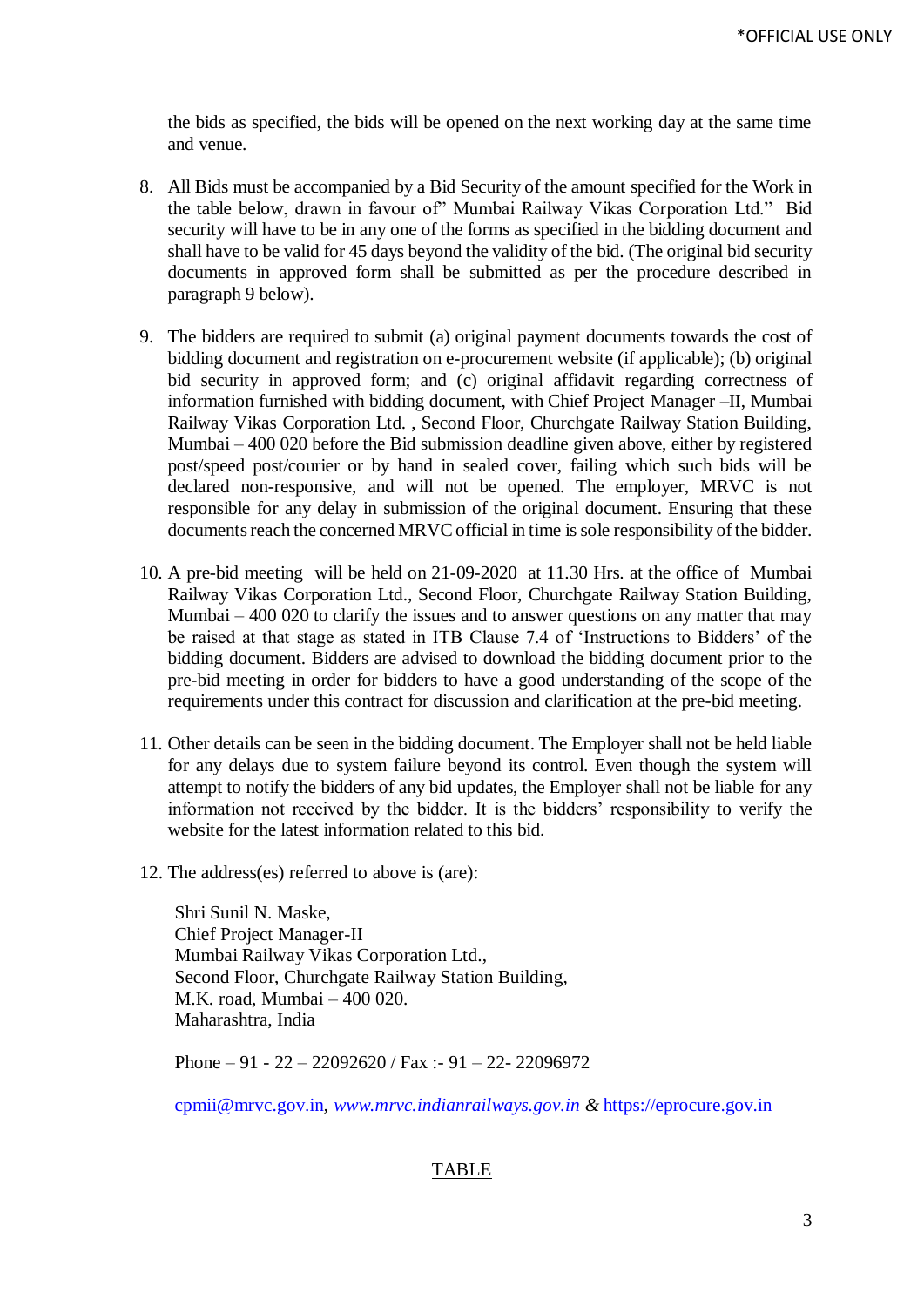the bids as specified, the bids will be opened on the next working day at the same time and venue.

- 8. All Bids must be accompanied by a Bid Security of the amount specified for the Work in the table below, drawn in favour of" Mumbai Railway Vikas Corporation Ltd." Bid security will have to be in any one of the forms as specified in the bidding document and shall have to be valid for 45 days beyond the validity of the bid. (The original bid security documents in approved form shall be submitted as per the procedure described in paragraph 9 below).
- 9. The bidders are required to submit (a) original payment documents towards the cost of bidding document and registration on e-procurement website (if applicable); (b) original bid security in approved form; and (c) original affidavit regarding correctness of information furnished with bidding document, with Chief Project Manager –II, Mumbai Railway Vikas Corporation Ltd. , Second Floor, Churchgate Railway Station Building, Mumbai – 400 020 before the Bid submission deadline given above, either by registered post/speed post/courier or by hand in sealed cover, failing which such bids will be declared non-responsive, and will not be opened. The employer, MRVC is not responsible for any delay in submission of the original document. Ensuring that these documents reach the concerned MRVC official in time is sole responsibility of the bidder.
- 10. A pre-bid meeting will be held on 21-09-2020 at 11.30 Hrs. at the office of Mumbai Railway Vikas Corporation Ltd., Second Floor, Churchgate Railway Station Building, Mumbai – 400 020 to clarify the issues and to answer questions on any matter that may be raised at that stage as stated in ITB Clause 7.4 of 'Instructions to Bidders' of the bidding document. Bidders are advised to download the bidding document prior to the pre-bid meeting in order for bidders to have a good understanding of the scope of the requirements under this contract for discussion and clarification at the pre-bid meeting.
- 11. Other details can be seen in the bidding document. The Employer shall not be held liable for any delays due to system failure beyond its control. Even though the system will attempt to notify the bidders of any bid updates, the Employer shall not be liable for any information not received by the bidder. It is the bidders' responsibility to verify the website for the latest information related to this bid.
- 12. The address(es) referred to above is (are):

Shri Sunil N. Maske, Chief Project Manager-II Mumbai Railway Vikas Corporation Ltd., Second Floor, Churchgate Railway Station Building, M.K. road, Mumbai – 400 020. Maharashtra, India

Phone  $-91 - 22 - 22092620$  / Fax :  $-91 - 22 - 22096972$ 

[cpmii@mrvc.gov.in](mailto:cpmii@mrvc.gov.in)*, [www.mrvc.indianrailways.gov.in](http://www.mrvc.indianrailways.gov.in/) &* [https://eprocure.gov.in](https://eprocure.gov.in/)

## TABLE